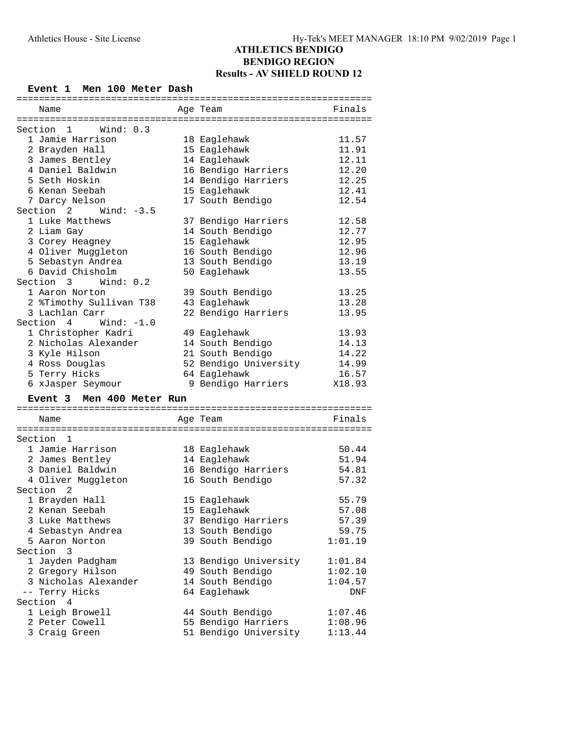## **BENDIGO REGION Results - AV SHIELD ROUND 12**

#### **Event 1 Men 100 Meter Dash**

| ============              |                              |         |
|---------------------------|------------------------------|---------|
| Name                      | Age Team                     | Finals  |
|                           |                              |         |
| Section<br>Wind: 0.3<br>1 |                              |         |
| 1 Jamie Harrison          | 18 Eaglehawk                 | 11.57   |
| 2 Brayden Hall            | 15 Eaglehawk                 | 11.91   |
| 3 James Bentley           | 14 Eaglehawk                 | 12.11   |
| 4 Daniel Baldwin          | 16 Bendigo Harriers          | 12.20   |
| 5 Seth Hoskin             | 14 Bendigo Harriers          | 12.25   |
| 6 Kenan Seebah            | 15 Eaglehawk                 | 12.41   |
| 7 Darcy Nelson            | 17 South Bendigo             | 12.54   |
| Section 2 Wind: -3.5      |                              |         |
| 1 Luke Matthews           | 37 Bendigo Harriers          | 12.58   |
| 2 Liam Gay                | 14 South Bendigo             | 12.77   |
| 3 Corey Heagney           | 15 Eaglehawk                 | 12.95   |
| 4 Oliver Muggleton        | 16 South Bendigo             | 12.96   |
| 5 Sebastyn Andrea         | 13 South Bendigo             | 13.19   |
| 6 David Chisholm          |                              |         |
|                           | 50 Eaglehawk                 | 13.55   |
| Section 3<br>Wind: $0.2$  |                              |         |
| 1 Aaron Norton            | 39 South Bendigo             | 13.25   |
| 2 %Timothy Sullivan T38   | 43 Eaglehawk                 | 13.28   |
| 3 Lachlan Carr            | 22 Bendigo Harriers          | 13.95   |
| Wind: $-1.0$<br>Section 4 |                              |         |
| 1 Christopher Kadri       | 49 Eaglehawk                 | 13.93   |
| 2 Nicholas Alexander      | 14 South Bendigo             | 14.13   |
| 3 Kyle Hilson             | 21 South Bendigo             | 14.22   |
| 4 Ross Douglas            | 52 Bendigo University        | 14.99   |
| 5 Terry Hicks             | 64 Eaglehawk                 | 16.57   |
| 6 xJasper Seymour         | 9 Bendigo Harriers           | X18.93  |
| Event 3 Men 400 Meter Run |                              |         |
|                           |                              |         |
| Name                      | Age Team                     | Finals  |
|                           |                              |         |
| Section 1                 |                              |         |
| 1 Jamie Harrison          |                              | 50.44   |
| 2 James Bentley           | 18 Eaglehawk<br>14 Eaglehawk | 51.94   |
| 3 Daniel Baldwin          |                              |         |
|                           | 16 Bendigo Harriers          | 54.81   |
| 4 Oliver Muggleton        | 16 South Bendigo             | 57.32   |
| Section<br>2              |                              |         |
| 1 Brayden Hall            | 15 Eaglehawk                 | 55.79   |
| 2 Kenan Seebah            | 15 Eaglehawk                 | 57.08   |
| 3 Luke Matthews           | 37 Bendigo Harriers          | 57.39   |
| 4 Sebastyn Andrea         | 13 South Bendigo             | 59.75   |
| 5 Aaron Norton            | 39 South Bendigo             | 1:01.19 |
| Section<br>3              |                              |         |
| 1 Jayden Padgham          | 13 Bendigo University        | 1:01.84 |
|                           |                              | 1:02.10 |
| 2 Gregory Hilson          | 49 South Bendigo             |         |
| 3 Nicholas Alexander      | 14 South Bendigo             | 1:04.57 |
| -- Terry Hicks            | 64 Eaglehawk                 | DNF     |
| Section<br>4              |                              |         |
| 1 Leigh Browell           | 44 South Bendigo             | 1:07.46 |
| 2 Peter Cowell            | 55 Bendigo Harriers          | 1:08.96 |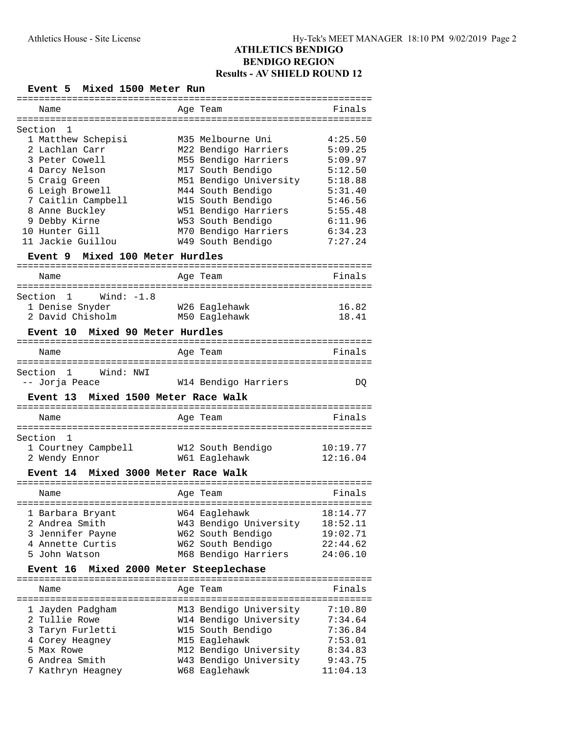### **Event 5 Mixed 1500 Meter Run**

| Name                                  | Age Team                                | Finals              |
|---------------------------------------|-----------------------------------------|---------------------|
|                                       |                                         |                     |
| Section 1                             |                                         |                     |
| 1 Matthew Schepisi                    | M35 Melbourne Uni                       | 4:25.50             |
| 2 Lachlan Carr                        | M22 Bendigo Harriers                    | 5:09.25             |
| 3 Peter Cowell                        | M55 Bendigo Harriers                    | 5:09.97             |
| 4 Darcy Nelson                        | M17 South Bendigo                       | 5:12.50             |
| 5 Craig Green                         | M51 Bendigo University                  | 5:18.88             |
| 6 Leigh Browell                       | M44 South Bendigo                       | 5:31.40             |
| 7 Caitlin Campbell                    | W15 South Bendigo                       | 5:46.56             |
| 8 Anne Buckley                        | W51 Bendigo Harriers                    | 5:55.48             |
| 9 Debby Kirne                         | W53 South Bendigo                       | 6:11.96             |
| 10 Hunter Gill                        | M70 Bendigo Harriers 6:34.23            |                     |
| 11 Jackie Guillou                     | W49 South Bendigo                       | 7:27.24             |
|                                       |                                         |                     |
| Event 9 Mixed 100 Meter Hurdles       |                                         |                     |
|                                       |                                         | Finals              |
| Name                                  | Age Team                                |                     |
| Section 1 Wind: -1.8                  |                                         |                     |
| 1 Denise Snyder                       | W26 Eaglehawk                           | 16.82               |
| 2 David Chisholm                      | M50 Eaglehawk                           | 18.41               |
|                                       |                                         |                     |
| Event 10 Mixed 90 Meter Hurdles       |                                         |                     |
| Name                                  | Age Team                                | Finals              |
|                                       |                                         |                     |
| Section 1 Wind: NWI                   |                                         |                     |
| -- Jorja Peace                        | W14 Bendigo Harriers                    | DQ                  |
|                                       |                                         |                     |
|                                       |                                         |                     |
| Event 13 Mixed 1500 Meter Race Walk   |                                         |                     |
| Name                                  | Age Team                                | Finals              |
|                                       |                                         |                     |
|                                       |                                         |                     |
| 1 Courtney Campbell W12 South Bendigo |                                         | 10:19.77            |
| 2 Wendy Ennor                         | W61 Eaglehawk                           | 12:16.04            |
| Event 14 Mixed 3000 Meter Race Walk   |                                         |                     |
|                                       |                                         |                     |
| Section 1<br>Name                     | Age Team                                | Finals              |
|                                       |                                         |                     |
| 1 Barbara Bryant                      | W64 Eaglehawk                           | 18:14.77            |
| 2 Andrea Smith                        | W43 Bendigo University                  | 18:52.11            |
| 3 Jennifer Payne                      | W62 South Bendigo                       | 19:02.71            |
| 4 Annette Curtis                      | W62 South Bendigo                       | 22:44.62            |
| 5 John Watson                         | M68 Bendigo Harriers                    | 24:06.10            |
| Event 16                              | Mixed 2000 Meter Steeplechase           |                     |
|                                       |                                         |                     |
| Name                                  | Age Team                                | Finals              |
|                                       |                                         |                     |
| 1 Jayden Padgham                      | M13 Bendigo University                  | 7:10.80             |
| 2 Tullie Rowe                         | W14 Bendigo University                  | 7:34.64             |
| 3 Taryn Furletti                      | W15 South Bendigo                       | 7:36.84             |
| 4 Corey Heagney                       | M15 Eaglehawk                           | 7:53.01             |
| 5 Max Rowe                            | M12 Bendigo University                  | 8:34.83             |
| 6 Andrea Smith<br>7 Kathryn Heagney   | W43 Bendigo University<br>W68 Eaglehawk | 9:43.75<br>11:04.13 |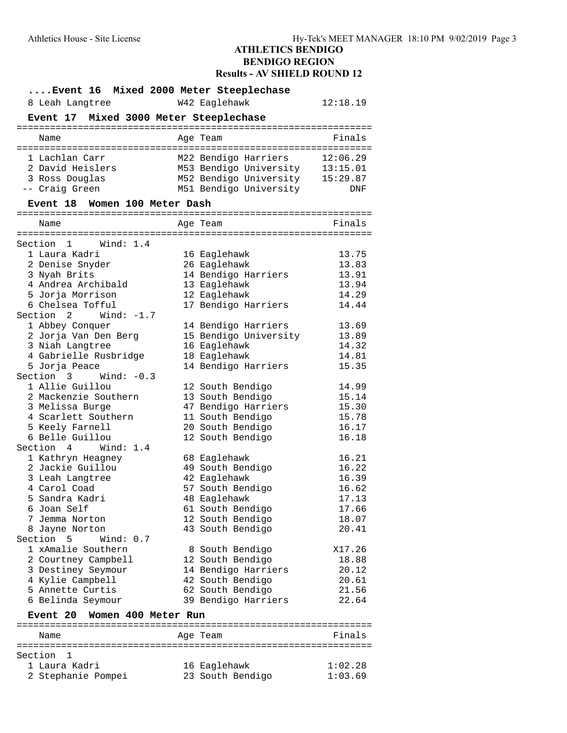### **ATHLETICS BENDIGO BENDIGO REGION Results - AV SHIELD ROUND 12**

| Event 16 Mixed 2000 Meter Steeplechase   |                                 |          |
|------------------------------------------|---------------------------------|----------|
| 8 Leah Langtree                          | W42 Eaglehawk                   | 12:18.19 |
| Event 17 Mixed 3000 Meter Steeplechase   |                                 |          |
| Name                                     |                                 | Finals   |
|                                          | Age Team                        |          |
| 1 Lachlan Carr                           | M22 Bendigo Harriers            | 12:06.29 |
| 2 David Heislers                         | M53 Bendigo University 13:15.01 |          |
| 3 Ross Douglas                           | M52 Bendigo University 15:29.87 |          |
| -- Craig Green                           | M51 Bendigo University          | DNF      |
| Event 18 Women 100 Meter Dash            |                                 |          |
|                                          |                                 |          |
| Name                                     | Age Team                        | Finals   |
| Section 1 Wind: 1.4                      |                                 |          |
| 1 Laura Kadri                            | 16 Eaglehawk                    | 13.75    |
| 2 Denise Snyder                          | 26 Eaglehawk                    | 13.83    |
| 3 Nyah Brits                             | 14 Bendigo Harriers             | 13.91    |
| 4 Andrea Archibald                       | 13 Eaglehawk                    | 13.94    |
| 5 Jorja Morrison                         | 12 Eaglehawk                    | 14.29    |
| 6 Chelsea Tofful                         | 17 Bendigo Harriers             | 14.44    |
| Section $2$ Wind: $-1.7$                 |                                 |          |
| 1 Abbey Conquer                          | 14 Bendigo Harriers             | 13.69    |
| 2 Jorja Van Den Berg                     | 15 Bendigo University           | 13.89    |
| 3 Niah Langtree                          | 16 Eaglehawk                    | 14.32    |
| 4 Gabrielle Rusbridge                    | 18 Eaglehawk                    | 14.81    |
| 5 Jorja Peace                            | 14 Bendigo Harriers             | 15.35    |
| Section 3 Wind: -0.3                     |                                 |          |
| 1 Allie Guillou                          | 12 South Bendigo                | 14.99    |
| 2 Mackenzie Southern                     | 13 South Bendigo                | 15.14    |
| 3 Melissa Burge                          | 47 Bendigo Harriers             | 15.30    |
| 4 Scarlett Southern                      | 11 South Bendigo                | 15.78    |
| 5 Keely Farnell                          | 20 South Bendigo                | 16.17    |
| 6 Belle Guillou                          | 12 South Bendigo                | 16.18    |
| Section 4 Wind: 1.4                      |                                 |          |
| 1 Kathryn Heagney                        | 68 Eaglehawk                    | 16.21    |
| 2 Jackie Guillou                         | 49 South Bendigo                | 16.22    |
| 3 Leah Langtree                          | 42 Eaglehawk                    | 16.39    |
| 4 Carol Coad                             | 57 South Bendigo                | 16.62    |
| 5 Sandra Kadri                           | 48 Eaglehawk                    | 17.13    |
| 6 Joan Self                              | 61 South Bendigo                | 17.66    |
| 7 Jemma Norton                           | 12 South Bendigo                | 18.07    |
| 8 Jayne Norton<br>Section 5<br>Wind: 0.7 | 43 South Bendigo                | 20.41    |
| 1 xAmalie Southern                       | 8 South Bendigo                 | X17.26   |
| 2 Courtney Campbell                      | 12 South Bendigo                | 18.88    |
| 3 Destiney Seymour                       | 14 Bendigo Harriers             | 20.12    |
| 4 Kylie Campbell                         | 42 South Bendigo                | 20.61    |
| 5 Annette Curtis                         | 62 South Bendigo                | 21.56    |
| 6 Belinda Seymour                        | 39 Bendigo Harriers             | 22.64    |
|                                          |                                 |          |
| Women 400 Meter Run<br>Event 20          |                                 |          |
| Name                                     | Age Team                        | Finals   |
|                                          |                                 |          |
| Section<br>1                             |                                 |          |
| 1 Laura Kadri                            | 16 Eaglehawk                    | 1:02.28  |
| 2 Stephanie Pompei                       | 23 South Bendigo                | 1:03.69  |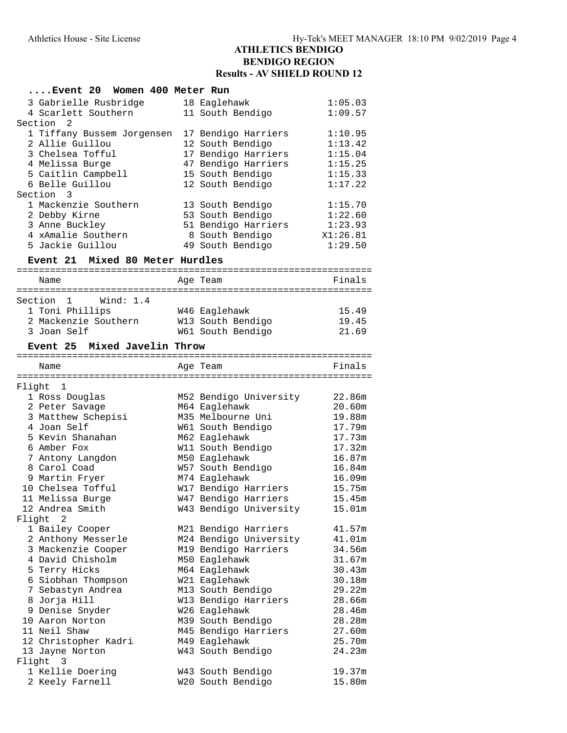## **Results - AV SHIELD ROUND 12**

#### **....Event 20 Women 400 Meter Run**

| 3 Gabrielle Rusbridge            | 18 Eaglehawk                          | 1:05.03          |
|----------------------------------|---------------------------------------|------------------|
| 4 Scarlett Southern              | 11 South Bendigo                      | 1:09.57          |
| Section 2                        |                                       |                  |
| 1 Tiffany Bussem Jorgensen       | 17 Bendigo Harriers                   | 1:10.95          |
| 2 Allie Guillou                  | 12 South Bendigo                      | 1:13.42          |
| 3 Chelsea Tofful                 | 17 Bendigo Harriers                   | 1:15.04          |
| 4 Melissa Burge                  | 47 Bendigo Harriers                   | 1:15.25          |
| 5 Caitlin Campbell               | 15 South Bendigo                      | 1:15.33          |
| 6 Belle Guillou                  | 12 South Bendigo                      | 1:17.22          |
| Section 3                        |                                       |                  |
| 1 Mackenzie Southern             | 13 South Bendigo                      | 1:15.70          |
| 2 Debby Kirne                    | 53 South Bendigo                      | 1:22.60          |
| 3 Anne Buckley                   | 51 Bendigo Harriers                   | 1:23.93          |
| 4 xAmalie Southern               | 8 South Bendigo                       | X1:26.81         |
| 5 Jackie Guillou                 | 49 South Bendigo                      | 1:29.50          |
| Event 21 Mixed 80 Meter Hurdles  |                                       |                  |
|                                  |                                       |                  |
| Name                             | Age Team                              | Finals           |
| Section 1<br>Wind: 1.4           |                                       |                  |
| 1 Toni Phillips                  | W46 Eaglehawk                         | 15.49            |
| 2 Mackenzie Southern             | W13 South Bendigo                     | 19.45            |
| 3 Joan Self                      | W61 South Bendigo                     | 21.69            |
|                                  |                                       |                  |
| Event 25 Mixed Javelin Throw     |                                       |                  |
|                                  |                                       | Finals           |
| Name                             | Age Team                              |                  |
| Flight 1                         |                                       |                  |
| 1 Ross Douglas                   | M52 Bendigo University                | 22.86m           |
| 2 Peter Savage                   | M64 Eaglehawk                         | 20.60m           |
| 3 Matthew Schepisi               | M35 Melbourne Uni                     | 19.88m           |
| 4 Joan Self                      | W61 South Bendigo                     | 17.79m           |
| 5 Kevin Shanahan                 | M62 Eaglehawk                         | 17.73m           |
| 6 Amber Fox                      | W11 South Bendigo                     | 17.32m           |
|                                  |                                       | 16.87m           |
| 7 Antony Langdon<br>8 Carol Coad | M50 Eaglehawk<br>W57 South Bendigo    |                  |
|                                  |                                       | 16.84m           |
| 9 Martin Fryer                   | M74 Eaglehawk                         | 16.09m           |
| 10 Chelsea Tofful                | W17 Bendigo Harriers                  | 15.75m<br>15.45m |
| 11 Melissa Burge                 | W47 Bendigo Harriers                  |                  |
| 12 Andrea Smith<br>Flight 2      | W43 Bendigo University                | 15.01m           |
| 1 Bailey Cooper                  | M21 Bendigo Harriers                  | 41.57m           |
|                                  |                                       |                  |
| 2 Anthony Messerle               | M24 Bendigo University                | 41.01m           |
| 3 Mackenzie Cooper               | M19 Bendigo Harriers<br>M50 Eaglehawk | 34.56m           |
| 4 David Chisholm                 |                                       | 31.67m           |
| 5 Terry Hicks                    | M64 Eaglehawk                         | 30.43m           |
| 6 Siobhan Thompson               | W21 Eaglehawk                         | 30.18m           |
| 7 Sebastyn Andrea                | M13 South Bendigo                     | 29.22m           |
| 8 Jorja Hill                     | W13 Bendigo Harriers                  | 28.66m           |
| 9 Denise Snyder                  | W26 Eaglehawk                         | 28.46m           |
| 10 Aaron Norton                  | M39 South Bendigo                     | 28.28m           |
| 11 Neil Shaw                     | M45 Bendigo Harriers                  | 27.60m           |
| 12 Christopher Kadri             | M49 Eaglehawk                         | 25.70m           |
| 13 Jayne Norton                  | W43 South Bendigo                     | 24.23m           |
| Flight<br>- 3                    |                                       |                  |
| 1 Kellie Doering                 | W43 South Bendigo                     | 19.37m           |
| 2 Keely Farnell                  | W20 South Bendigo                     | 15.80m           |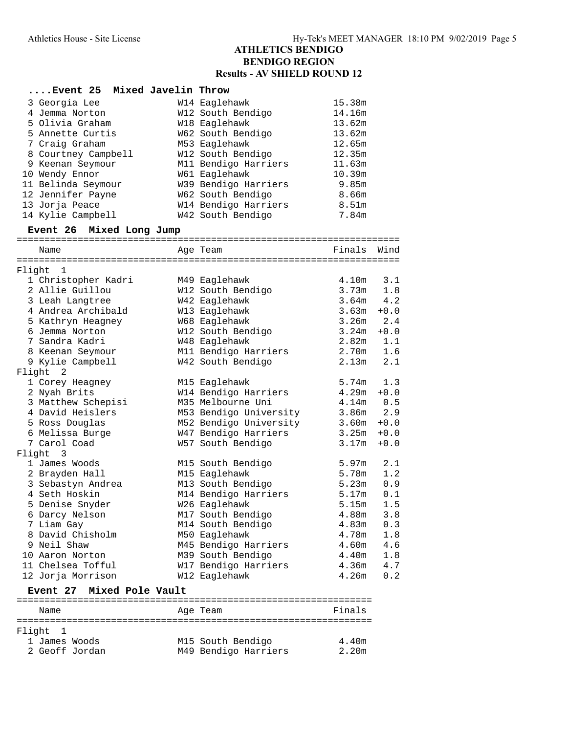## **ATHLETICS BENDIGO BENDIGO REGION Results - AV SHIELD ROUND 12**

| Event 25 Mixed Javelin Throw |                      |                   |
|------------------------------|----------------------|-------------------|
| 3 Georgia Lee                | W14 Eaglehawk        | 15.38m            |
| 4 Jemma Norton               | W12 South Bendigo    | 14.16m            |
| 5 Olivia Graham              | W18 Eaglehawk        | 13.62m            |
| 5 Annette Curtis             | W62 South Bendigo    | 13.62m            |
| 7 Craig Graham               | M53 Eaglehawk        | 12.65m            |
| 8 Courtney Campbell          | W12 South Bendigo    | 12.35m            |
| 9 Keenan Seymour             | M11 Bendigo Harriers | 11.63m            |
| 10 Wendy Ennor               | W61 Eaglehawk        | 10.39m            |
| 11 Belinda Seymour           | W39 Bendigo Harriers | 9.85m             |
| 12 Jennifer Payne            | W62 South Bendigo    | 8.66m             |
| 13 Jorja Peace               | W14 Bendigo Harriers | 8.51 <sub>m</sub> |
| 14 Kylie Campbell            | W42 South Bendigo    | 7.84m             |

# **Event 26 Mixed Long Jump**

|        | Name                              | Age Team                  | Finals | Wind   |
|--------|-----------------------------------|---------------------------|--------|--------|
|        | ================================= | ========================= |        |        |
| Flight | 1                                 |                           |        |        |
|        | 1 Christopher Kadri               | M49 Eaglehawk             | 4.10m  | 3.1    |
|        | 2 Allie Guillou                   | W12 South Bendigo         | 3.73m  | 1.8    |
|        | 3 Leah Langtree                   | W42 Eaglehawk             | 3.64m  | 4.2    |
|        | 4 Andrea Archibald                | W13 Eaglehawk             | 3.63m  | $+0.0$ |
|        | 5 Kathryn Heagney                 | W68 Eaglehawk             | 3.26m  | 2.4    |
|        | 6 Jemma Norton                    | W12 South Bendigo         | 3.24m  | $+0.0$ |
|        | 7 Sandra Kadri                    | W48 Eaglehawk             | 2.82m  | 1.1    |
|        | 8 Keenan Seymour                  | M11 Bendigo Harriers      | 2.70m  | 1.6    |
|        | 9 Kylie Campbell                  | W42 South Bendigo         | 2.13m  | 2.1    |
| Flight | 2                                 |                           |        |        |
|        | 1 Corey Heagney                   | M15 Eaglehawk             | 5.74m  | 1.3    |
|        | 2 Nyah Brits                      | W14 Bendigo Harriers      | 4.29m  | $+0.0$ |
|        | 3 Matthew Schepisi                | M35 Melbourne Uni         | 4.14m  | 0.5    |
|        | 4 David Heislers                  | M53 Bendigo University    | 3.86m  | 2.9    |
|        | 5 Ross Douglas                    | M52 Bendigo University    | 3.60m  | $+0.0$ |
|        | 6 Melissa Burge                   | W47 Bendigo Harriers      | 3.25m  | $+0.0$ |
|        | 7 Carol Coad                      | W57 South Bendigo         | 3.17m  | $+0.0$ |
|        | Flight<br>- 3                     |                           |        |        |
|        | 1 James Woods                     | M15 South Bendigo         | 5.97m  | 2.1    |
|        | 2 Brayden Hall                    | M15 Eaglehawk             | 5.78m  | 1.2    |
|        | 3 Sebastyn Andrea                 | M13 South Bendigo         | 5.23m  | 0.9    |
|        | 4 Seth Hoskin                     | M14 Bendigo Harriers      | 5.17m  | 0.1    |
|        | 5 Denise Snyder                   | W26 Eaglehawk             | 5.15m  | 1.5    |
|        | 6 Darcy Nelson                    | M17 South Bendigo         | 4.88m  | 3.8    |
|        | 7 Liam Gay                        | M14 South Bendigo         | 4.83m  | 0.3    |
|        | 8 David Chisholm                  | M50 Eaglehawk             | 4.78m  | 1.8    |
|        | 9 Neil Shaw                       | M45 Bendigo Harriers      | 4.60m  | 4.6    |
|        | 10 Aaron Norton                   | M39 South Bendigo         | 4.40m  | 1.8    |
|        | 11 Chelsea Tofful                 | W17 Bendigo Harriers      | 4.36m  | 4.7    |
|        | 12 Jorja Morrison                 | W12 Eaglehawk             | 4.26m  | 0.2    |

### **Event 27 Mixed Pole Vault**

| Name           |  | Age Team             | Finals |
|----------------|--|----------------------|--------|
|                |  |                      |        |
| Flight 1       |  |                      |        |
| 1 James Woods  |  | M15 South Bendigo    | 4.40m  |
| 2 Geoff Jordan |  | M49 Bendigo Harriers | 2.20m  |